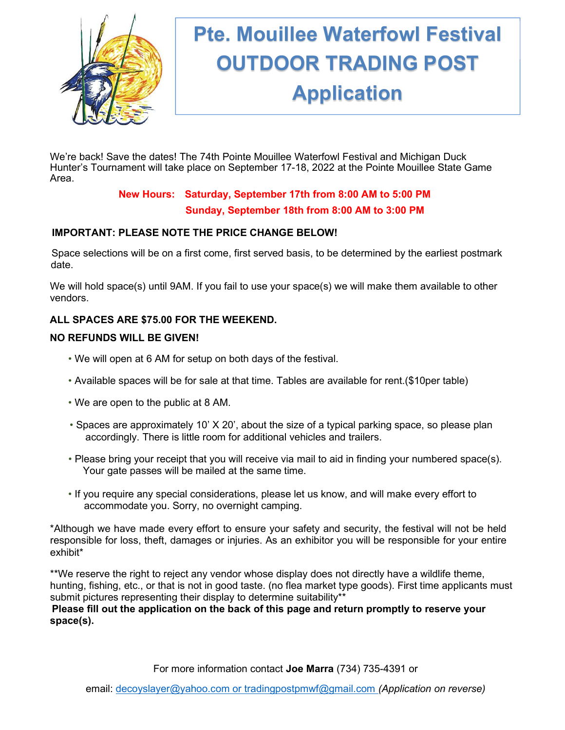

# Pte. Mouillee Waterfowl Festival OUTDOOR TRADING POST Application

September 17th & 18th, 2022, 2022, 2022, 2022, 2022, 2022, 2022, 2022, 2022, 2022, 2022, 2022, 2022, 2022, 20

We're back! Save the dates! The 74th Pointe Mouillee Waterfowl Festival and Michigan Duck Hunter's Tournament will take place on September 17-18, 2022 at the Pointe Mouillee State Game Area.

# New Hours: Saturday, September 17th from 8:00 AM to 5:00 PM Sunday, September 18th from 8:00 AM to 3:00 PM

# IMPORTANT: PLEASE NOTE THE PRICE CHANGE BELOW!

Space selections will be on a first come, first served basis, to be determined by the earliest postmark date.

We will hold space(s) until 9AM. If you fail to use your space(s) we will make them available to other vendors.

# ALL SPACES ARE \$75.00 FOR THE WEEKEND.

#### NO REFUNDS WILL BE GIVEN!

- We will open at 6 AM for setup on both days of the festival.
- Available spaces will be for sale at that time. Tables are available for rent.(\$10per table)
- We are open to the public at 8 AM.
- Spaces are approximately 10' X 20', about the size of a typical parking space, so please plan accordingly. There is little room for additional vehicles and trailers.
- Please bring your receipt that you will receive via mail to aid in finding your numbered space(s). Your gate passes will be mailed at the same time.
- If you require any special considerations, please let us know, and will make every effort to accommodate you. Sorry, no overnight camping.

\*Although we have made every effort to ensure your safety and security, the festival will not be held responsible for loss, theft, damages or injuries. As an exhibitor you will be responsible for your entire exhibit\*

\*\*We reserve the right to reject any vendor whose display does not directly have a wildlife theme, hunting, fishing, etc., or that is not in good taste. (no flea market type goods). First time applicants must submit pictures representing their display to determine suitability\*\*

Please fill out the application on the back of this page and return promptly to reserve your space(s).

For more information contact Joe Marra (734) 735-4391 or